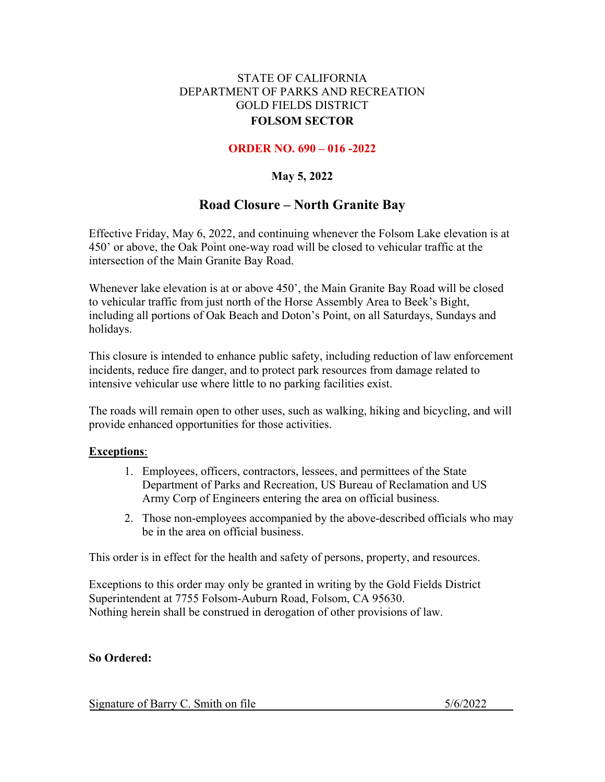# STATE OF CALIFORNIA DEPARTMENT OF PARKS AND RECREATION GOLD FIELDS DISTRICT **FOLSOM SECTOR**

# **ORDER NO. 690 – 016 -2022**

# **May 5, 2022**

# **Road Closure – North Granite Bay**

Effective Friday, May 6, 2022, and continuing whenever the Folsom Lake elevation is at 450' or above, the Oak Point one-way road will be closed to vehicular traffic at the intersection of the Main Granite Bay Road.

Whenever lake elevation is at or above 450', the Main Granite Bay Road will be closed to vehicular traffic from just north of the Horse Assembly Area to Beek's Bight, including all portions of Oak Beach and Doton's Point, on all Saturdays, Sundays and holidays.

This closure is intended to enhance public safety, including reduction of law enforcement incidents, reduce fire danger, and to protect park resources from damage related to intensive vehicular use where little to no parking facilities exist.

The roads will remain open to other uses, such as walking, hiking and bicycling, and will provide enhanced opportunities for those activities.

### **Exceptions**:

- 1. Employees, officers, contractors, lessees, and permittees of the State Department of Parks and Recreation, US Bureau of Reclamation and US Army Corp of Engineers entering the area on official business.
- 2. Those non-employees accompanied by the above-described officials who may be in the area on official business.

This order is in effect for the health and safety of persons, property, and resources.

Exceptions to this order may only be granted in writing by the Gold Fields District Superintendent at 7755 Folsom-Auburn Road, Folsom, CA 95630. Nothing herein shall be construed in derogation of other provisions of law.

# **So Ordered:**

Signature of Barry C. Smith on file 5/6/2022